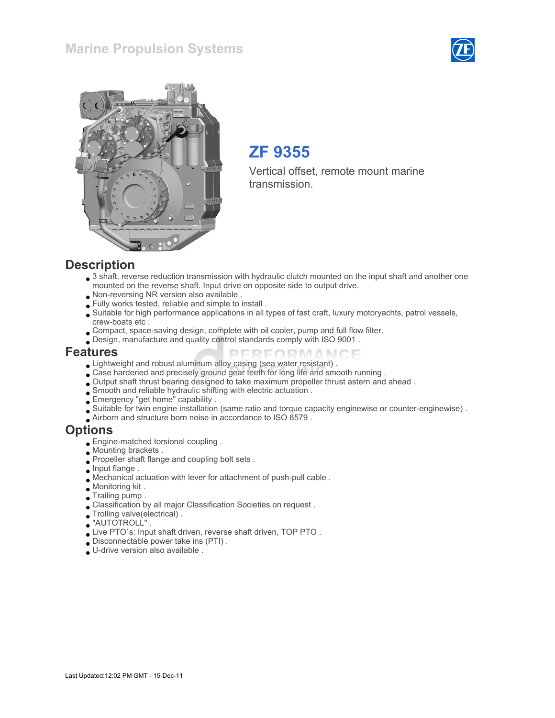### Marine Propulsion Systems





# ZF 9355

Vertical offset, remote mount marine transmission.

#### **Description**

- 3 shaft, reverse reduction transmission with hydraulic clutch mounted on the input shaft and another one mounted on the reverse shaft. Input drive on opposite side to output drive.
- Non-reversing NR version also available .
- Fully works tested, reliable and simple to install .
- Suitable for high performance applications in all types of fast craft, luxury motoryachts, patrol vessels, crew-boats etc .
- Compact, space-saving design, complete with oil cooler, pump and full flow filter.
- Design, manufacture and quality control standards comply with ISO 9001 .

#### Features

- Lightweight and robust aluminum alloy casing (sea water resistant) .
- Case hardened and precisely ground gear teeth for long life and smooth running .
- Output shaft thrust bearing designed to take maximum propeller thrust astern and ahead .
- Smooth and reliable hydraulic shifting with electric actuation .
- Emergency "get home" capability .
- Suitable for twin engine installation (same ratio and torque capacity enginewise or counter-enginewise) .

PERFORMANCE

Airborn and structure born noise in accordance to ISO 8579 .

#### Options

- Engine-matched torsional coupling .
- Mounting brackets .
- Propeller shaft flange and coupling bolt sets .
- **Input flange**.
- Mechanical actuation with lever for attachment of push-pull cable .
- Monitoring kit .
- Trailing pump .
- Classification by all major Classification Societies on request .
- Trolling valve(electrical) .
- "AUTOTROLL" .
- Live PTO`s: Input shaft driven, reverse shaft driven, TOP PTO .
- Disconnectable power take ins (PTI) .
- U-drive version also available .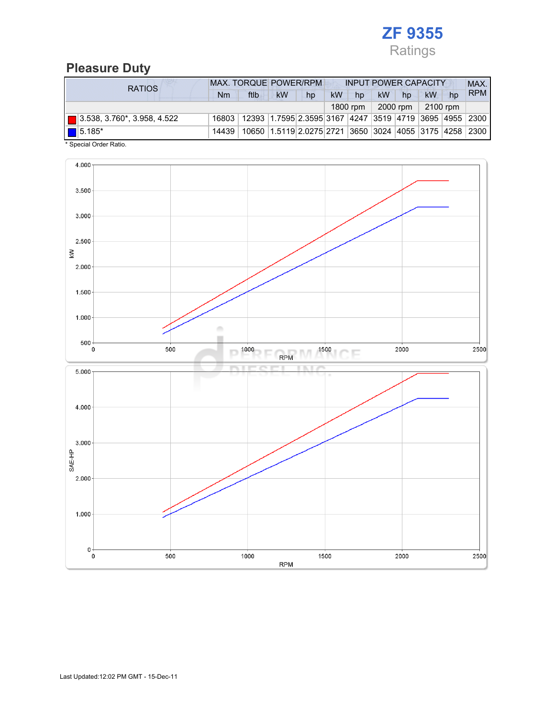

# Pleasure Duty

| <b>RATIOS</b>                           | <b>MAX. TORQUE POWER/RPM</b><br><b>INPUT POWER CAPACITY</b> |                                                                                  |    |                                                          |           |          |           |          |          |    | MAX.       |
|-----------------------------------------|-------------------------------------------------------------|----------------------------------------------------------------------------------|----|----------------------------------------------------------|-----------|----------|-----------|----------|----------|----|------------|
|                                         | Nm                                                          | ftlb                                                                             | kW | hp                                                       | <b>kW</b> | hp       | <b>kW</b> | hp       | kW       | hp | <b>RPM</b> |
|                                         |                                                             |                                                                                  |    |                                                          |           | 1800 rpm |           | 2000 rpm | 2100 rpm |    |            |
| $\boxed{ }$ 3.538, 3.760*, 3.958, 4.522 |                                                             | 16803   12393   1.7595   2.3595   3167   4247   3519   4719   3695   4955   2300 |    |                                                          |           |          |           |          |          |    |            |
| $\boxed{\blacksquare}$ 5.185*           | 14439                                                       |                                                                                  |    | 10650 1.5119 2.0275 2721 3650 3024 4055 3175 4258 2300 1 |           |          |           |          |          |    |            |

\* Special Order Ratio.

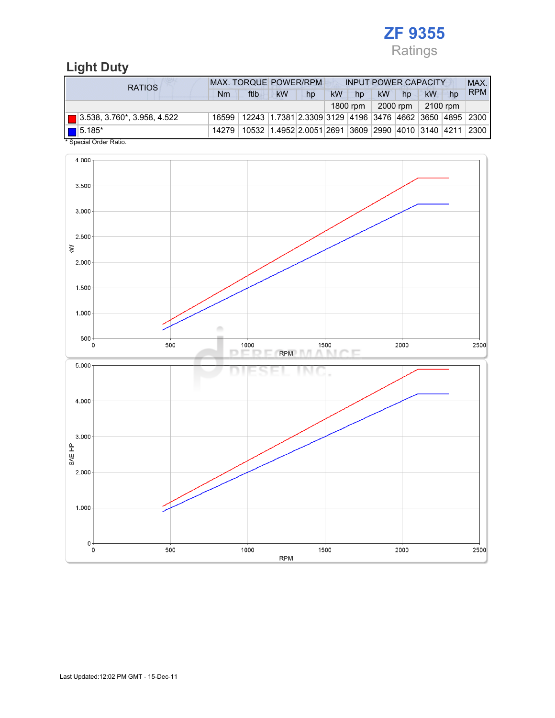

# Light Duty

| <b>RATIOS</b>                      | <b>MAX. TORQUE POWER/RPM</b> |                                                                                  |                                                        |    | <b>INPUT POWER CAPACITY</b> |          |           |                       |    |    | MAX.       |
|------------------------------------|------------------------------|----------------------------------------------------------------------------------|--------------------------------------------------------|----|-----------------------------|----------|-----------|-----------------------|----|----|------------|
|                                    | Nm                           | ftlb                                                                             | <b>kW</b>                                              | hp | <b>kW</b>                   | hp       | <b>kW</b> | hp                    | kW | hp | <b>RPM</b> |
|                                    |                              |                                                                                  |                                                        |    |                             | 1800 rpm |           | $2000$ rpm   2100 rpm |    |    |            |
| $\Box$ 3.538, 3.760*, 3.958, 4.522 |                              | 16599   12243   1.7381   2.3309   3129   4196   3476   4662   3650   4895   2300 |                                                        |    |                             |          |           |                       |    |    |            |
| $\boxed{\blacksquare}$ 5.185*      | 14279                        |                                                                                  | 10532 1.4952 2.0051 2691 3609 2990 4010 3140 4211 2300 |    |                             |          |           |                       |    |    |            |
| * Special Order Ratio.             |                              |                                                                                  |                                                        |    |                             |          |           |                       |    |    |            |

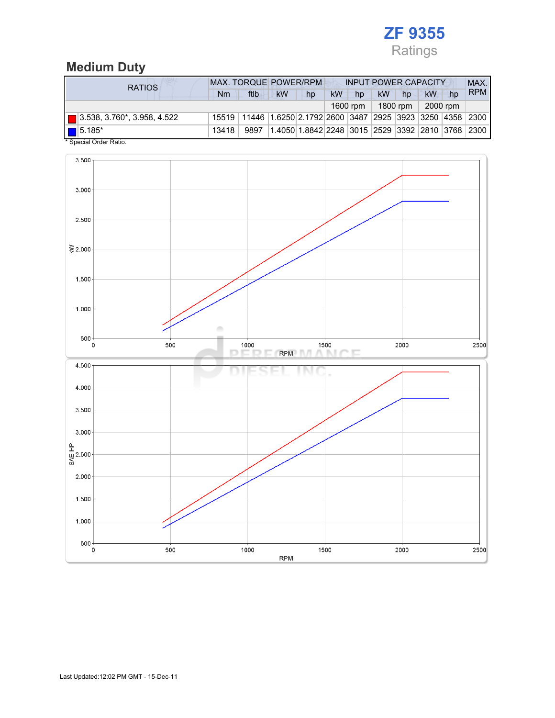

# Medium Duty

| <b>RATIOS</b>                      | <b>MAX. TORQUE POWER/RPM</b> |                                                                                  |           |                                                  |           | <b>INPUT POWER CAPACITY</b> |           |          |    |          |            |
|------------------------------------|------------------------------|----------------------------------------------------------------------------------|-----------|--------------------------------------------------|-----------|-----------------------------|-----------|----------|----|----------|------------|
|                                    | Nm                           | ftlb                                                                             | <b>kW</b> | hp                                               | <b>kW</b> | hp                          | <b>kW</b> | hp       | kW | hp       | <b>RPM</b> |
|                                    |                              |                                                                                  |           |                                                  |           | 1600 rpm                    |           | 1800 rpm |    | 2000 rpm |            |
| $\Box$ 3.538, 3.760*, 3.958, 4.522 |                              | 15519   11446   1.6250   2.1792   2600   3487   2925   3923   3250   4358   2300 |           |                                                  |           |                             |           |          |    |          |            |
| $\boxed{\blacksquare}$ 5.185*      | 13418                        | 9897                                                                             |           | 1.4050 1.8842 2248 3015 2529 3392 2810 3768 2300 |           |                             |           |          |    |          |            |
| * Special Order Ratio.             |                              |                                                                                  |           |                                                  |           |                             |           |          |    |          |            |

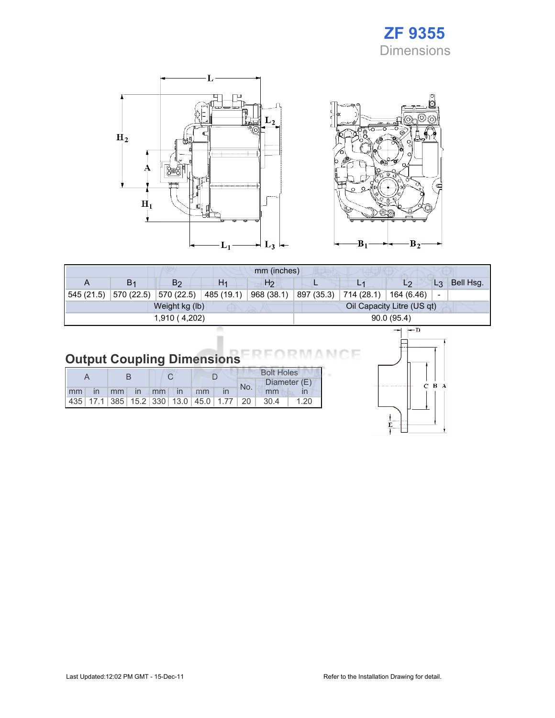# ZF 9355 Dimensions





|            |                |                |                | mm (inches)    |            |                            |                                        |           |
|------------|----------------|----------------|----------------|----------------|------------|----------------------------|----------------------------------------|-----------|
| A          | B <sub>1</sub> | B <sub>2</sub> | H <sub>1</sub> | H <sub>2</sub> |            |                            | $L_3$<br>L2                            | Bell Hsg. |
| 545 (21.5) | 570 (22.5)     | 570 (22.5)     | 485 (19.1)     | 968 (38.1)     | 897 (35.3) | 714 (28.1)                 | 164 (6.46)<br>$\overline{\phantom{a}}$ |           |
|            |                | Weight kg (lb) |                |                |            | Oil Capacity Litre (US qt) |                                        |           |
|            |                | 1,910 (4,202)  |                |                |            | 90.0(95.4)                 |                                        |           |
|            |                |                |                |                |            | l— D                       |                                        |           |

#### Output Coupling Dimensions ìΕ N 6

|    |  |             |  |               |                                                         | <b>Bolt Holes</b> |      |              |
|----|--|-------------|--|---------------|---------------------------------------------------------|-------------------|------|--------------|
|    |  |             |  |               |                                                         | No.               |      | Diameter (E) |
| mm |  | in mm in mm |  | $\mathsf{In}$ | mm                                                      |                   | mm   |              |
|    |  |             |  |               | 435   17.1   385   15.2   330   13.0   45.0   1.77   20 |                   | 30.4 | 1.20         |